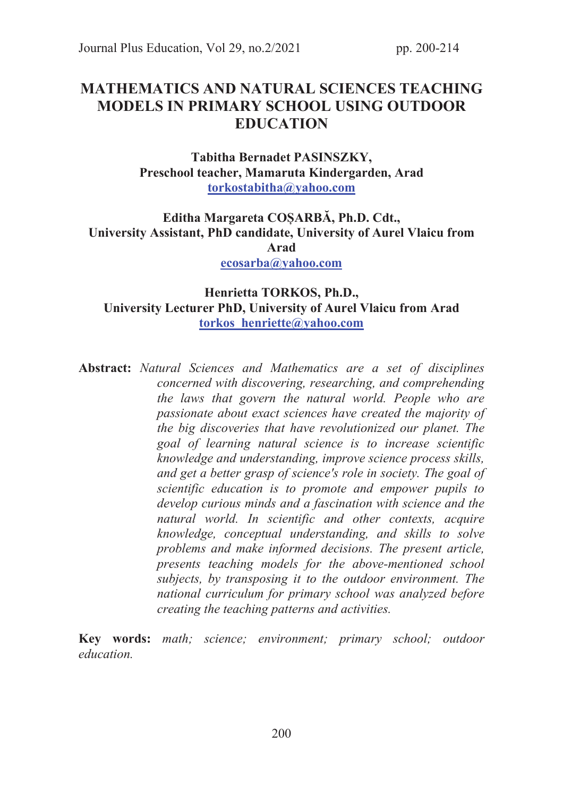# MATHEMATICS AND NATURAL SCIENCES TEACHING MODELS IN PRIMARY SCHOOL USING OUTDOOR **EDUCATION**

Tabitha Bernadet PASINSZKY, Preschool teacher, Mamaruta Kindergarden, Arad torkostabitha@yahoo.com

# Editha Margareta COȘARBĂ, Ph.D. Cdt., University Assistant, PhD candidate, University of Aurel Vlaicu from Arad ecosarba@yahoo.com

## Henrietta TORKOS, Ph.D., University Lecturer PhD, University of Aurel Vlaicu from Arad torkos\_henriette@yahoo.com

Abstract: Natural Sciences and Mathematics are a set of disciplines concerned with discovering, researching, and comprehending the laws that govern the natural world. People who are passionate about exact sciences have created the majority of the big discoveries that have revolutionized our planet. The goal of learning natural science is to increase scientific knowledge and understanding, improve science process skills, and get a better grasp of science's role in society. The goal of scientific education is to promote and empower pupils to develop curious minds and a fascination with science and the natural world. In scientific and other contexts, acquire knowledge, conceptual understanding, and skills to solve problems and make informed decisions. The present article, presents teaching models for the above-mentioned school subjects, by transposing it to the outdoor environment. The national curriculum for primary school was analyzed before creating the teaching patterns and activities.

Key words: math; science; environment; primary school; outdoor education.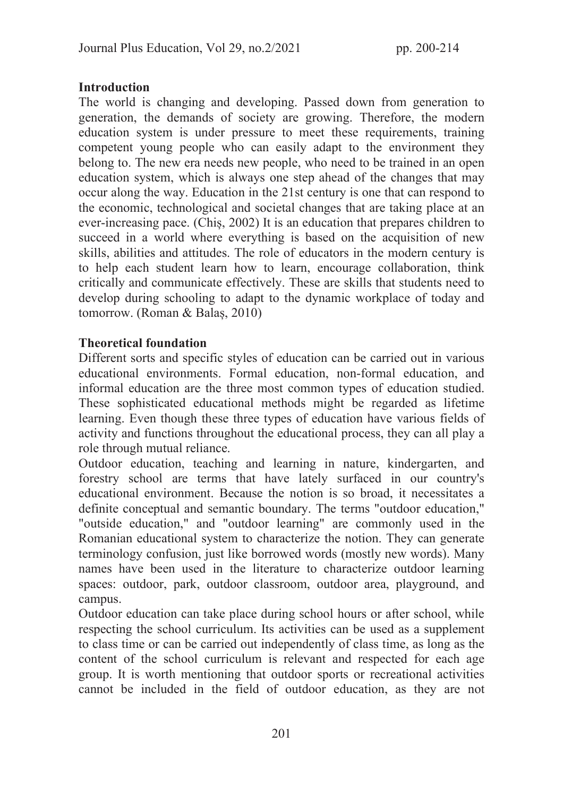## **Introduction**

The world is changing and developing. Passed down from generation to generation, the demands of society are growing. Therefore, the modern education system is under pressure to meet these requirements, training competent young people who can easily adapt to the environment they belong to. The new era needs new people, who need to be trained in an open education system, which is always one step ahead of the changes that may occur along the way. Education in the 21st century is one that can respond to the economic, technological and societal changes that are taking place at an ever-increasing pace. (Chiș, 2002) It is an education that prepares children to succeed in a world where everything is based on the acquisition of new skills, abilities and attitudes. The role of educators in the modern century is to help each student learn how to learn, encourage collaboration, think critically and communicate effectively. These are skills that students need to develop during schooling to adapt to the dynamic workplace of today and tomorrow. (Roman & Balaș, 2010)

# Theoretical foundation

Different sorts and specific styles of education can be carried out in various educational environments. Formal education, non-formal education, and informal education are the three most common types of education studied. These sophisticated educational methods might be regarded as lifetime learning. Even though these three types of education have various fields of activity and functions throughout the educational process, they can all play a role through mutual reliance.

Outdoor education, teaching and learning in nature, kindergarten, and forestry school are terms that have lately surfaced in our country's educational environment. Because the notion is so broad, it necessitates a definite conceptual and semantic boundary. The terms "outdoor education," "outside education," and "outdoor learning" are commonly used in the Romanian educational system to characterize the notion. They can generate terminology confusion, just like borrowed words (mostly new words). Many names have been used in the literature to characterize outdoor learning spaces: outdoor, park, outdoor classroom, outdoor area, playground, and campus.

Outdoor education can take place during school hours or after school, while respecting the school curriculum. Its activities can be used as a supplement to class time or can be carried out independently of class time, as long as the content of the school curriculum is relevant and respected for each age group. It is worth mentioning that outdoor sports or recreational activities cannot be included in the field of outdoor education, as they are not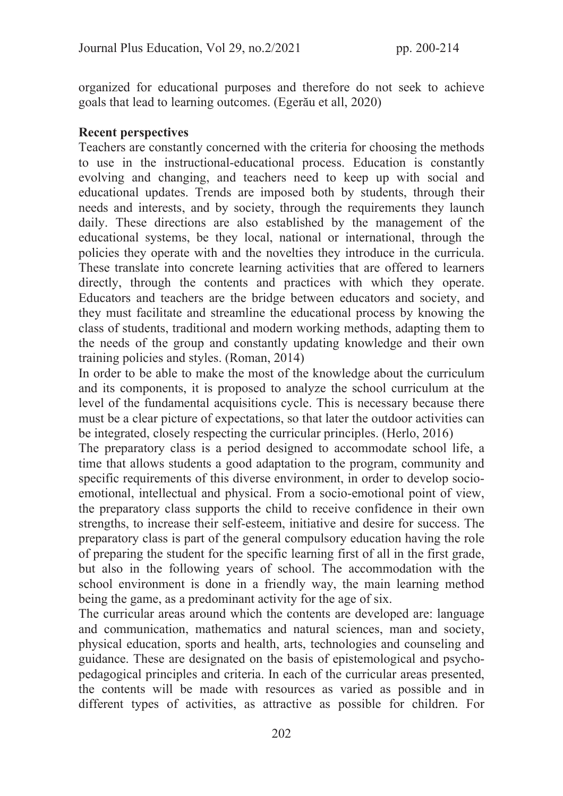organized for educational purposes and therefore do not seek to achieve goals that lead to learning outcomes. (Egerău et all, 2020)

#### Recent perspectives

Teachers are constantly concerned with the criteria for choosing the methods to use in the instructional-educational process. Education is constantly evolving and changing, and teachers need to keep up with social and educational updates. Trends are imposed both by students, through their needs and interests, and by society, through the requirements they launch daily. These directions are also established by the management of the educational systems, be they local, national or international, through the policies they operate with and the novelties they introduce in the curricula. These translate into concrete learning activities that are offered to learners directly, through the contents and practices with which they operate. Educators and teachers are the bridge between educators and society, and they must facilitate and streamline the educational process by knowing the class of students, traditional and modern working methods, adapting them to the needs of the group and constantly updating knowledge and their own training policies and styles. (Roman, 2014)

In order to be able to make the most of the knowledge about the curriculum and its components, it is proposed to analyze the school curriculum at the level of the fundamental acquisitions cycle. This is necessary because there must be a clear picture of expectations, so that later the outdoor activities can be integrated, closely respecting the curricular principles. (Herlo, 2016)

The preparatory class is a period designed to accommodate school life, a time that allows students a good adaptation to the program, community and specific requirements of this diverse environment, in order to develop socioemotional, intellectual and physical. From a socio-emotional point of view, the preparatory class supports the child to receive confidence in their own strengths, to increase their self-esteem, initiative and desire for success. The preparatory class is part of the general compulsory education having the role of preparing the student for the specific learning first of all in the first grade, but also in the following years of school. The accommodation with the school environment is done in a friendly way, the main learning method being the game, as a predominant activity for the age of six.

The curricular areas around which the contents are developed are: language and communication, mathematics and natural sciences, man and society, physical education, sports and health, arts, technologies and counseling and guidance. These are designated on the basis of epistemological and psychopedagogical principles and criteria. In each of the curricular areas presented, the contents will be made with resources as varied as possible and in different types of activities, as attractive as possible for children. For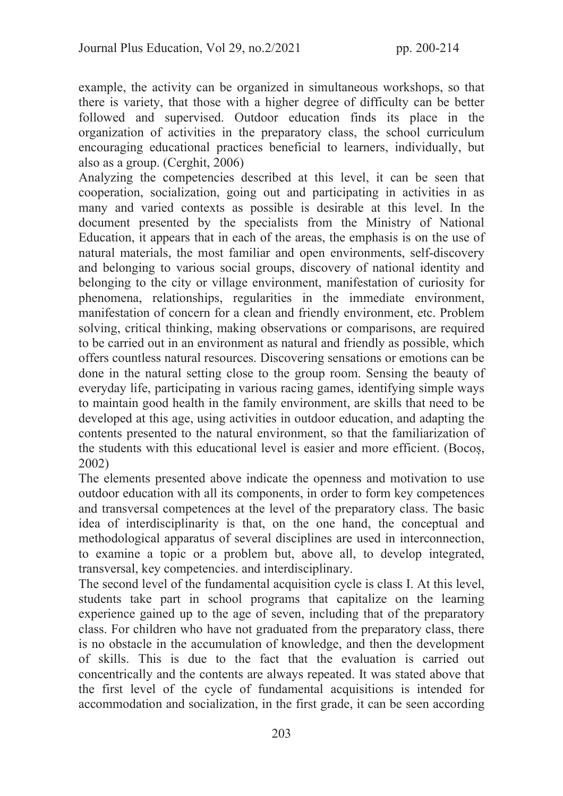example, the activity can be organized in simultaneous workshops, so that there is variety, that those with a higher degree of difficulty can be better followed and supervised. Outdoor education finds its place in the organization of activities in the preparatory class, the school curriculum encouraging educational practices beneficial to learners, individually, but also as a group. (Cerghit, 2006)

Analyzing the competencies described at this level, it can be seen that cooperation, socialization, going out and participating in activities in as many and varied contexts as possible is desirable at this level. In the document presented by the specialists from the Ministry of National Education, it appears that in each of the areas, the emphasis is on the use of natural materials, the most familiar and open environments, self-discovery and belonging to various social groups, discovery of national identity and belonging to the city or village environment, manifestation of curiosity for phenomena, relationships, regularities in the immediate environment, manifestation of concern for a clean and friendly environment, etc. Problem solving, critical thinking, making observations or comparisons, are required to be carried out in an environment as natural and friendly as possible, which offers countless natural resources. Discovering sensations or emotions can be done in the natural setting close to the group room. Sensing the beauty of everyday life, participating in various racing games, identifying simple ways to maintain good health in the family environment, are skills that need to be developed at this age, using activities in outdoor education, and adapting the contents presented to the natural environment, so that the familiarization of the students with this educational level is easier and more efficient. (Bocoș, 2002)

The elements presented above indicate the openness and motivation to use outdoor education with all its components, in order to form key competences and transversal competences at the level of the preparatory class. The basic idea of interdisciplinarity is that, on the one hand, the conceptual and methodological apparatus of several disciplines are used in interconnection, to examine a topic or a problem but, above all, to develop integrated, transversal, key competencies. and interdisciplinary.

The second level of the fundamental acquisition cycle is class I. At this level, students take part in school programs that capitalize on the learning experience gained up to the age of seven, including that of the preparatory class. For children who have not graduated from the preparatory class, there is no obstacle in the accumulation of knowledge, and then the development of skills. This is due to the fact that the evaluation is carried out concentrically and the contents are always repeated. It was stated above that the first level of the cycle of fundamental acquisitions is intended for accommodation and socialization, in the first grade, it can be seen according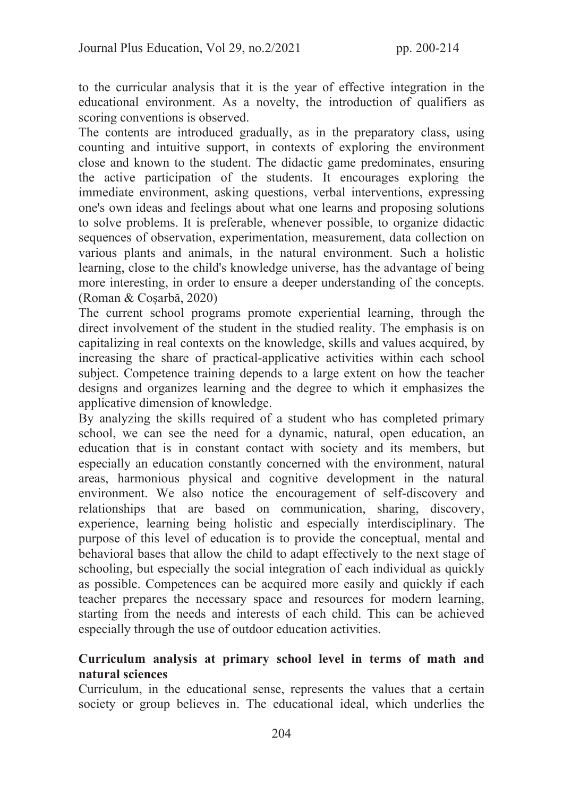to the curricular analysis that it is the year of effective integration in the educational environment. As a novelty, the introduction of qualifiers as scoring conventions is observed.

The contents are introduced gradually, as in the preparatory class, using counting and intuitive support, in contexts of exploring the environment close and known to the student. The didactic game predominates, ensuring the active participation of the students. It encourages exploring the immediate environment, asking questions, verbal interventions, expressing one's own ideas and feelings about what one learns and proposing solutions to solve problems. It is preferable, whenever possible, to organize didactic sequences of observation, experimentation, measurement, data collection on various plants and animals, in the natural environment. Such a holistic learning, close to the child's knowledge universe, has the advantage of being more interesting, in order to ensure a deeper understanding of the concepts. (Roman & Coșarbă, 2020)

The current school programs promote experiential learning, through the direct involvement of the student in the studied reality. The emphasis is on capitalizing in real contexts on the knowledge, skills and values acquired, by increasing the share of practical-applicative activities within each school subject. Competence training depends to a large extent on how the teacher designs and organizes learning and the degree to which it emphasizes the applicative dimension of knowledge.

By analyzing the skills required of a student who has completed primary school, we can see the need for a dynamic, natural, open education, an education that is in constant contact with society and its members, but especially an education constantly concerned with the environment, natural areas, harmonious physical and cognitive development in the natural environment. We also notice the encouragement of self-discovery and relationships that are based on communication, sharing, discovery, experience, learning being holistic and especially interdisciplinary. The purpose of this level of education is to provide the conceptual, mental and behavioral bases that allow the child to adapt effectively to the next stage of schooling, but especially the social integration of each individual as quickly as possible. Competences can be acquired more easily and quickly if each teacher prepares the necessary space and resources for modern learning, starting from the needs and interests of each child. This can be achieved especially through the use of outdoor education activities.

## Curriculum analysis at primary school level in terms of math and natural sciences

Curriculum, in the educational sense, represents the values that a certain society or group believes in. The educational ideal, which underlies the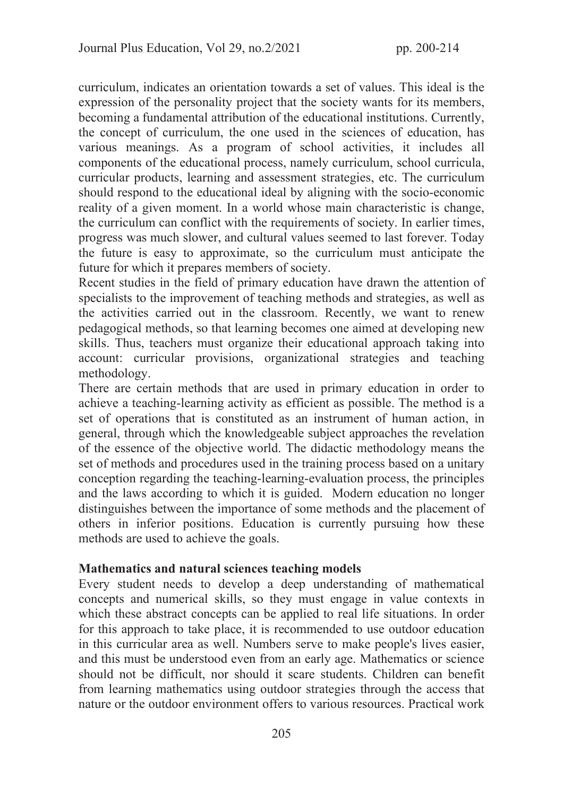curriculum, indicates an orientation towards a set of values. This ideal is the expression of the personality project that the society wants for its members, becoming a fundamental attribution of the educational institutions. Currently, the concept of curriculum, the one used in the sciences of education, has various meanings. As a program of school activities, it includes all components of the educational process, namely curriculum, school curricula, curricular products, learning and assessment strategies, etc. The curriculum should respond to the educational ideal by aligning with the socio-economic reality of a given moment. In a world whose main characteristic is change, the curriculum can conflict with the requirements of society. In earlier times, progress was much slower, and cultural values seemed to last forever. Today the future is easy to approximate, so the curriculum must anticipate the future for which it prepares members of society.

Recent studies in the field of primary education have drawn the attention of specialists to the improvement of teaching methods and strategies, as well as the activities carried out in the classroom. Recently, we want to renew pedagogical methods, so that learning becomes one aimed at developing new skills. Thus, teachers must organize their educational approach taking into account: curricular provisions, organizational strategies and teaching methodology.

There are certain methods that are used in primary education in order to achieve a teaching-learning activity as efficient as possible. The method is a set of operations that is constituted as an instrument of human action, in general, through which the knowledgeable subject approaches the revelation of the essence of the objective world. The didactic methodology means the set of methods and procedures used in the training process based on a unitary conception regarding the teaching-learning-evaluation process, the principles and the laws according to which it is guided. Modern education no longer distinguishes between the importance of some methods and the placement of others in inferior positions. Education is currently pursuing how these methods are used to achieve the goals.

#### Mathematics and natural sciences teaching models

Every student needs to develop a deep understanding of mathematical concepts and numerical skills, so they must engage in value contexts in which these abstract concepts can be applied to real life situations. In order for this approach to take place, it is recommended to use outdoor education in this curricular area as well. Numbers serve to make people's lives easier, and this must be understood even from an early age. Mathematics or science should not be difficult, nor should it scare students. Children can benefit from learning mathematics using outdoor strategies through the access that nature or the outdoor environment offers to various resources. Practical work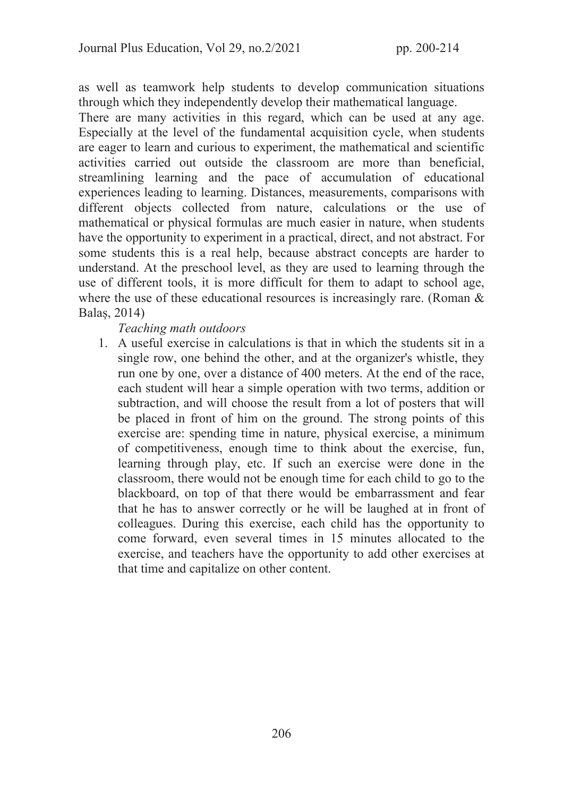as well as teamwork help students to develop communication situations through which they independently develop their mathematical language.

There are many activities in this regard, which can be used at any age. Especially at the level of the fundamental acquisition cycle, when students are eager to learn and curious to experiment, the mathematical and scientific activities carried out outside the classroom are more than beneficial, streamlining learning and the pace of accumulation of educational experiences leading to learning. Distances, measurements, comparisons with different objects collected from nature, calculations or the use of mathematical or physical formulas are much easier in nature, when students have the opportunity to experiment in a practical, direct, and not abstract. For some students this is a real help, because abstract concepts are harder to understand. At the preschool level, as they are used to learning through the use of different tools, it is more difficult for them to adapt to school age, where the use of these educational resources is increasingly rare. (Roman & Balaș, 2014)

#### Teaching math outdoors

1. A useful exercise in calculations is that in which the students sit in a single row, one behind the other, and at the organizer's whistle, they run one by one, over a distance of 400 meters. At the end of the race, each student will hear a simple operation with two terms, addition or subtraction, and will choose the result from a lot of posters that will be placed in front of him on the ground. The strong points of this exercise are: spending time in nature, physical exercise, a minimum of competitiveness, enough time to think about the exercise, fun, learning through play, etc. If such an exercise were done in the classroom, there would not be enough time for each child to go to the blackboard, on top of that there would be embarrassment and fear that he has to answer correctly or he will be laughed at in front of colleagues. During this exercise, each child has the opportunity to come forward, even several times in 15 minutes allocated to the exercise, and teachers have the opportunity to add other exercises at that time and capitalize on other content.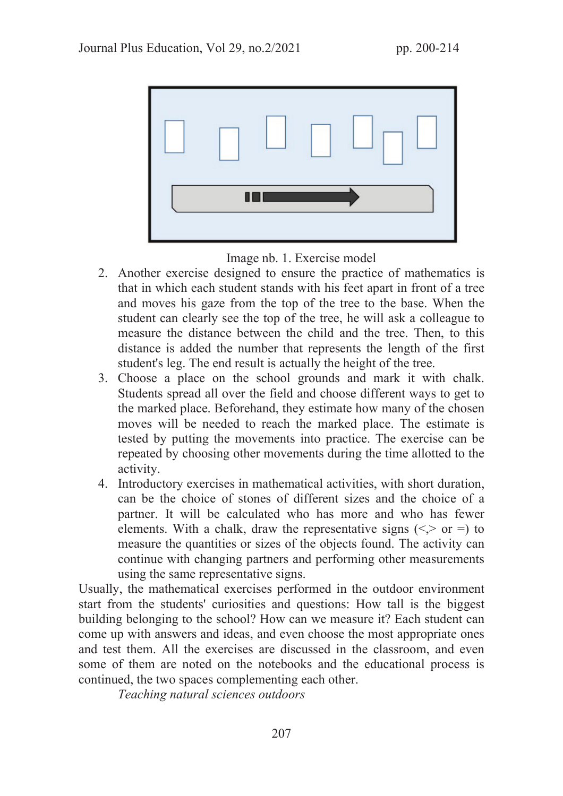

Image nb. 1. Exercise model

- 2. Another exercise designed to ensure the practice of mathematics is that in which each student stands with his feet apart in front of a tree and moves his gaze from the top of the tree to the base. When the student can clearly see the top of the tree, he will ask a colleague to measure the distance between the child and the tree. Then, to this distance is added the number that represents the length of the first student's leg. The end result is actually the height of the tree.
- 3. Choose a place on the school grounds and mark it with chalk. Students spread all over the field and choose different ways to get to the marked place. Beforehand, they estimate how many of the chosen moves will be needed to reach the marked place. The estimate is tested by putting the movements into practice. The exercise can be repeated by choosing other movements during the time allotted to the activity.
- 4. Introductory exercises in mathematical activities, with short duration, can be the choice of stones of different sizes and the choice of a partner. It will be calculated who has more and who has fewer elements. With a chalk, draw the representative signs  $(\leq, > \text{or} =)$  to measure the quantities or sizes of the objects found. The activity can continue with changing partners and performing other measurements using the same representative signs.

Usually, the mathematical exercises performed in the outdoor environment start from the students' curiosities and questions: How tall is the biggest building belonging to the school? How can we measure it? Each student can come up with answers and ideas, and even choose the most appropriate ones and test them. All the exercises are discussed in the classroom, and even some of them are noted on the notebooks and the educational process is continued, the two spaces complementing each other.

Teaching natural sciences outdoors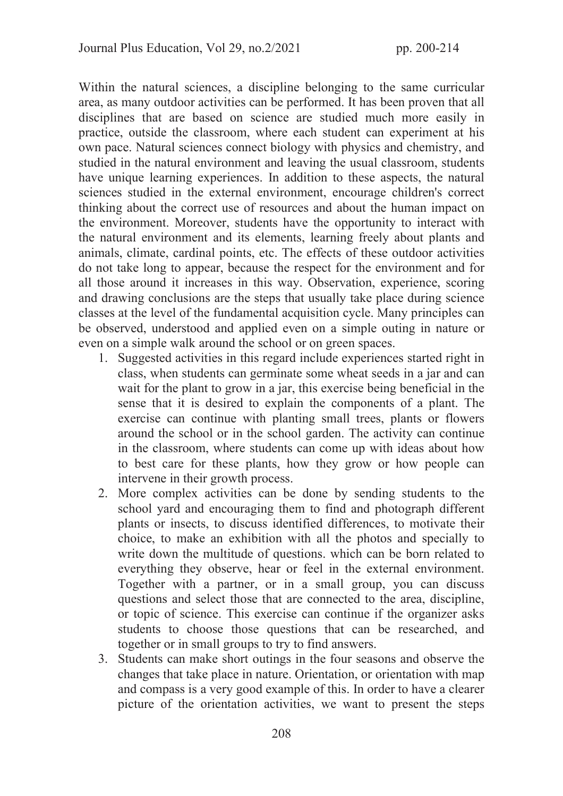Within the natural sciences, a discipline belonging to the same curricular area, as many outdoor activities can be performed. It has been proven that all disciplines that are based on science are studied much more easily in practice, outside the classroom, where each student can experiment at his own pace. Natural sciences connect biology with physics and chemistry, and studied in the natural environment and leaving the usual classroom, students have unique learning experiences. In addition to these aspects, the natural sciences studied in the external environment, encourage children's correct thinking about the correct use of resources and about the human impact on the environment. Moreover, students have the opportunity to interact with the natural environment and its elements, learning freely about plants and animals, climate, cardinal points, etc. The effects of these outdoor activities do not take long to appear, because the respect for the environment and for all those around it increases in this way. Observation, experience, scoring and drawing conclusions are the steps that usually take place during science classes at the level of the fundamental acquisition cycle. Many principles can be observed, understood and applied even on a simple outing in nature or even on a simple walk around the school or on green spaces.

- 1. Suggested activities in this regard include experiences started right in class, when students can germinate some wheat seeds in a jar and can wait for the plant to grow in a jar, this exercise being beneficial in the sense that it is desired to explain the components of a plant. The exercise can continue with planting small trees, plants or flowers around the school or in the school garden. The activity can continue in the classroom, where students can come up with ideas about how to best care for these plants, how they grow or how people can intervene in their growth process.
- 2. More complex activities can be done by sending students to the school yard and encouraging them to find and photograph different plants or insects, to discuss identified differences, to motivate their choice, to make an exhibition with all the photos and specially to write down the multitude of questions. which can be born related to everything they observe, hear or feel in the external environment. Together with a partner, or in a small group, you can discuss questions and select those that are connected to the area, discipline, or topic of science. This exercise can continue if the organizer asks students to choose those questions that can be researched, and together or in small groups to try to find answers.
- 3. Students can make short outings in the four seasons and observe the changes that take place in nature. Orientation, or orientation with map and compass is a very good example of this. In order to have a clearer picture of the orientation activities, we want to present the steps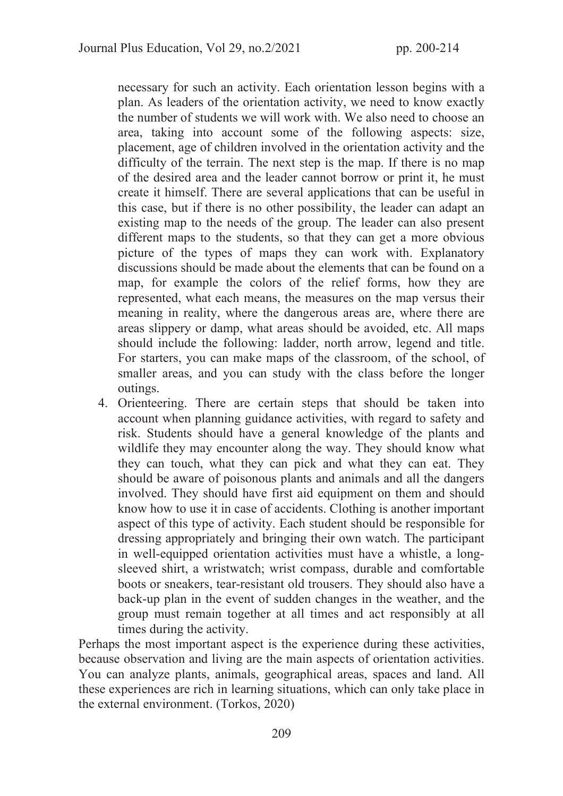necessary for such an activity. Each orientation lesson begins with a plan. As leaders of the orientation activity, we need to know exactly the number of students we will work with. We also need to choose an area, taking into account some of the following aspects: size, placement, age of children involved in the orientation activity and the difficulty of the terrain. The next step is the map. If there is no map of the desired area and the leader cannot borrow or print it, he must create it himself. There are several applications that can be useful in this case, but if there is no other possibility, the leader can adapt an existing map to the needs of the group. The leader can also present different maps to the students, so that they can get a more obvious picture of the types of maps they can work with. Explanatory discussions should be made about the elements that can be found on a map, for example the colors of the relief forms, how they are represented, what each means, the measures on the map versus their meaning in reality, where the dangerous areas are, where there are areas slippery or damp, what areas should be avoided, etc. All maps should include the following: ladder, north arrow, legend and title. For starters, you can make maps of the classroom, of the school, of smaller areas, and you can study with the class before the longer outings.

4. Orienteering. There are certain steps that should be taken into account when planning guidance activities, with regard to safety and risk. Students should have a general knowledge of the plants and wildlife they may encounter along the way. They should know what they can touch, what they can pick and what they can eat. They should be aware of poisonous plants and animals and all the dangers involved. They should have first aid equipment on them and should know how to use it in case of accidents. Clothing is another important aspect of this type of activity. Each student should be responsible for dressing appropriately and bringing their own watch. The participant in well-equipped orientation activities must have a whistle, a longsleeved shirt, a wristwatch; wrist compass, durable and comfortable boots or sneakers, tear-resistant old trousers. They should also have a back-up plan in the event of sudden changes in the weather, and the group must remain together at all times and act responsibly at all times during the activity.

Perhaps the most important aspect is the experience during these activities, because observation and living are the main aspects of orientation activities. You can analyze plants, animals, geographical areas, spaces and land. All these experiences are rich in learning situations, which can only take place in the external environment. (Torkos, 2020)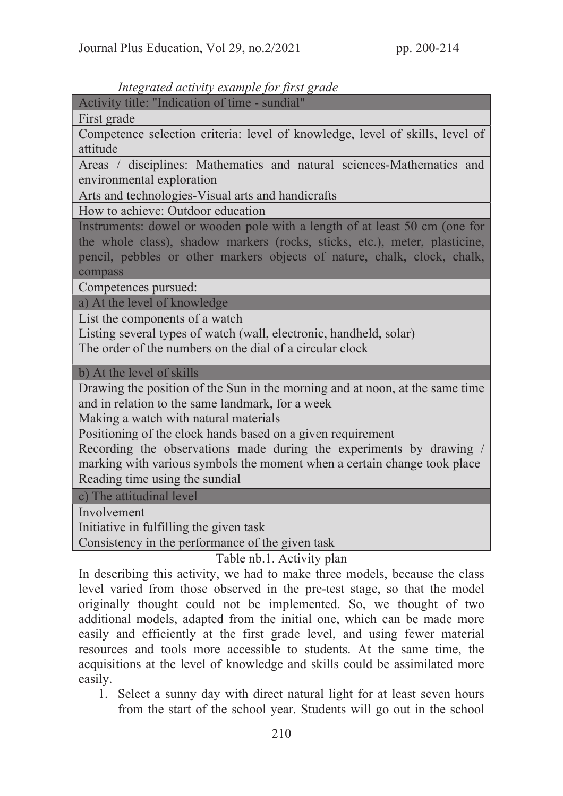#### Integrated activity example for first grade

Activity title: "Indication of time - sundial"

First grade

Competence selection criteria: level of knowledge, level of skills, level of attitude

Areas / disciplines: Mathematics and natural sciences-Mathematics and environmental exploration

Arts and technologies-Visual arts and handicrafts

How to achieve: Outdoor education

Instruments: dowel or wooden pole with a length of at least 50 cm (one for the whole class), shadow markers (rocks, sticks, etc.), meter, plasticine, pencil, pebbles or other markers objects of nature, chalk, clock, chalk, compass

Competences pursued:

a) At the level of knowledge

List the components of a watch

Listing several types of watch (wall, electronic, handheld, solar) The order of the numbers on the dial of a circular clock

b) At the level of skills

Drawing the position of the Sun in the morning and at noon, at the same time and in relation to the same landmark, for a week

Making a watch with natural materials

Positioning of the clock hands based on a given requirement

Recording the observations made during the experiments by drawing / marking with various symbols the moment when a certain change took place Reading time using the sundial

c) The attitudinal level

Involvement

Initiative in fulfilling the given task

Consistency in the performance of the given task

Table nb.1. Activity plan

In describing this activity, we had to make three models, because the class level varied from those observed in the pre-test stage, so that the model originally thought could not be implemented. So, we thought of two additional models, adapted from the initial one, which can be made more easily and efficiently at the first grade level, and using fewer material resources and tools more accessible to students. At the same time, the acquisitions at the level of knowledge and skills could be assimilated more easily.

1. Select a sunny day with direct natural light for at least seven hours from the start of the school year. Students will go out in the school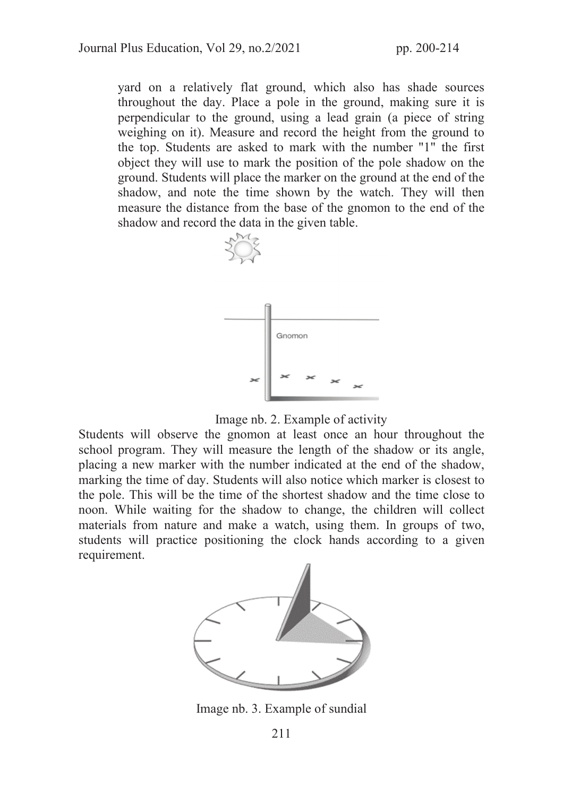yard on a relatively flat ground, which also has shade sources throughout the day. Place a pole in the ground, making sure it is perpendicular to the ground, using a lead grain (a piece of string weighing on it). Measure and record the height from the ground to the top. Students are asked to mark with the number "1" the first object they will use to mark the position of the pole shadow on the ground. Students will place the marker on the ground at the end of the shadow, and note the time shown by the watch. They will then measure the distance from the base of the gnomon to the end of the shadow and record the data in the given table.



Image nb. 2. Example of activity

Students will observe the gnomon at least once an hour throughout the school program. They will measure the length of the shadow or its angle, placing a new marker with the number indicated at the end of the shadow, marking the time of day. Students will also notice which marker is closest to the pole. This will be the time of the shortest shadow and the time close to noon. While waiting for the shadow to change, the children will collect materials from nature and make a watch, using them. In groups of two, students will practice positioning the clock hands according to a given requirement.



Image nb. 3. Example of sundial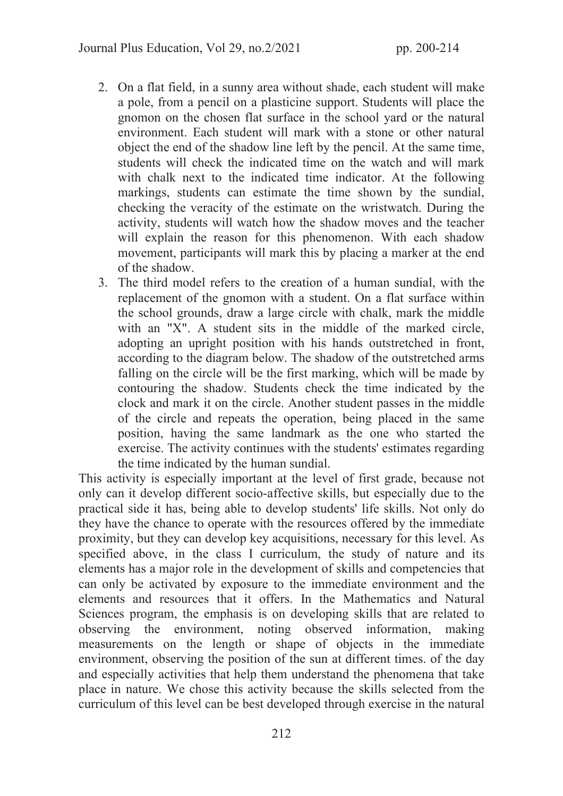- 2. On a flat field, in a sunny area without shade, each student will make a pole, from a pencil on a plasticine support. Students will place the gnomon on the chosen flat surface in the school yard or the natural environment. Each student will mark with a stone or other natural object the end of the shadow line left by the pencil. At the same time, students will check the indicated time on the watch and will mark with chalk next to the indicated time indicator. At the following markings, students can estimate the time shown by the sundial, checking the veracity of the estimate on the wristwatch. During the activity, students will watch how the shadow moves and the teacher will explain the reason for this phenomenon. With each shadow movement, participants will mark this by placing a marker at the end of the shadow.
- 3. The third model refers to the creation of a human sundial, with the replacement of the gnomon with a student. On a flat surface within the school grounds, draw a large circle with chalk, mark the middle with an "X". A student sits in the middle of the marked circle, adopting an upright position with his hands outstretched in front, according to the diagram below. The shadow of the outstretched arms falling on the circle will be the first marking, which will be made by contouring the shadow. Students check the time indicated by the clock and mark it on the circle. Another student passes in the middle of the circle and repeats the operation, being placed in the same position, having the same landmark as the one who started the exercise. The activity continues with the students' estimates regarding the time indicated by the human sundial.

This activity is especially important at the level of first grade, because not only can it develop different socio-affective skills, but especially due to the practical side it has, being able to develop students' life skills. Not only do they have the chance to operate with the resources offered by the immediate proximity, but they can develop key acquisitions, necessary for this level. As specified above, in the class I curriculum, the study of nature and its elements has a major role in the development of skills and competencies that can only be activated by exposure to the immediate environment and the elements and resources that it offers. In the Mathematics and Natural Sciences program, the emphasis is on developing skills that are related to observing the environment, noting observed information, making measurements on the length or shape of objects in the immediate environment, observing the position of the sun at different times. of the day and especially activities that help them understand the phenomena that take place in nature. We chose this activity because the skills selected from the curriculum of this level can be best developed through exercise in the natural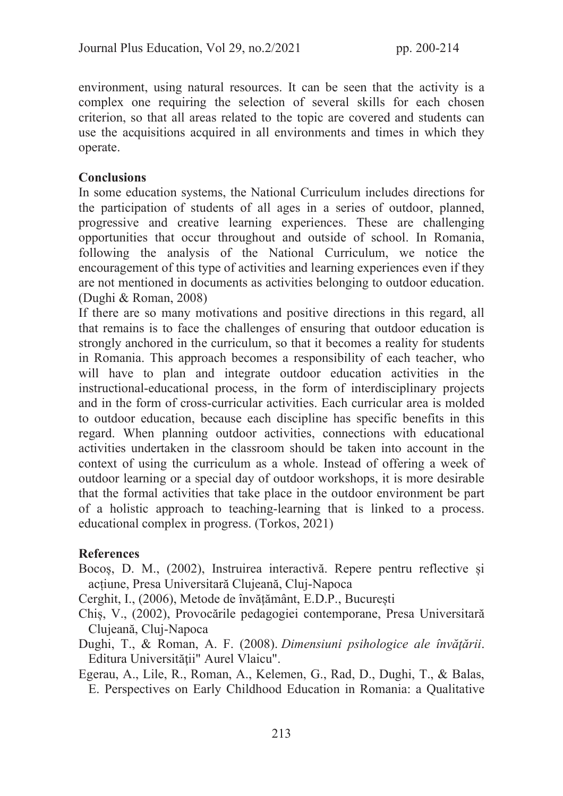environment, using natural resources. It can be seen that the activity is a complex one requiring the selection of several skills for each chosen criterion, so that all areas related to the topic are covered and students can use the acquisitions acquired in all environments and times in which they operate.

## **Conclusions**

In some education systems, the National Curriculum includes directions for the participation of students of all ages in a series of outdoor, planned, progressive and creative learning experiences. These are challenging opportunities that occur throughout and outside of school. In Romania, following the analysis of the National Curriculum, we notice the encouragement of this type of activities and learning experiences even if they are not mentioned in documents as activities belonging to outdoor education. (Dughi & Roman, 2008)

If there are so many motivations and positive directions in this regard, all that remains is to face the challenges of ensuring that outdoor education is strongly anchored in the curriculum, so that it becomes a reality for students in Romania. This approach becomes a responsibility of each teacher, who will have to plan and integrate outdoor education activities in the instructional-educational process, in the form of interdisciplinary projects and in the form of cross-curricular activities. Each curricular area is molded to outdoor education, because each discipline has specific benefits in this regard. When planning outdoor activities, connections with educational activities undertaken in the classroom should be taken into account in the context of using the curriculum as a whole. Instead of offering a week of outdoor learning or a special day of outdoor workshops, it is more desirable that the formal activities that take place in the outdoor environment be part of a holistic approach to teaching-learning that is linked to a process. educational complex in progress. (Torkos, 2021)

#### **References**

Bocoș, D. M., (2002), Instruirea interactivă. Repere pentru reflective și acțiune, Presa Universitară Clujeană, Cluj-Napoca

Cerghit, I., (2006), Metode de învățământ, E.D.P., București

- Chiș, V., (2002), Provocările pedagogiei contemporane, Presa Universitară Clujeană, Cluj-Napoca
- Dughi, T., & Roman, A. F. (2008). Dimensiuni psihologice ale învăţării. Editura Universităţii" Aurel Vlaicu".
- Egerau, A., Lile, R., Roman, A., Kelemen, G., Rad, D., Dughi, T., & Balas, E. Perspectives on Early Childhood Education in Romania: a Qualitative